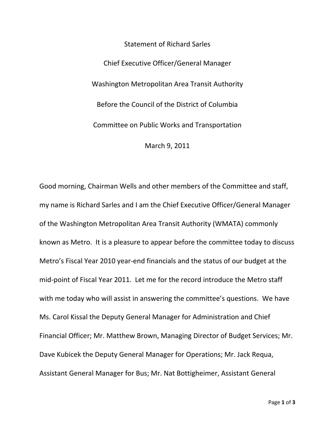Statement of Richard Sarles Chief Executive Officer/General Manager Washington Metropolitan Area Transit Authority Before the Council of the District of Columbia Committee on Public Works and Transportation March 9, 2011

Good morning, Chairman Wells and other members of the Committee and staff, my name is Richard Sarles and I am the Chief Executive Officer/General Manager of the Washington Metropolitan Area Transit Authority (WMATA) commonly known as Metro. It is a pleasure to appear before the committee today to discuss Metro's Fiscal Year 2010 year‐end financials and the status of our budget at the mid‐point of Fiscal Year 2011. Let me for the record introduce the Metro staff with me today who will assist in answering the committee's questions. We have Ms. Carol Kissal the Deputy General Manager for Administration and Chief Financial Officer; Mr. Matthew Brown, Managing Director of Budget Services; Mr. Dave Kubicek the Deputy General Manager for Operations; Mr. Jack Requa, Assistant General Manager for Bus; Mr. Nat Bottigheimer, Assistant General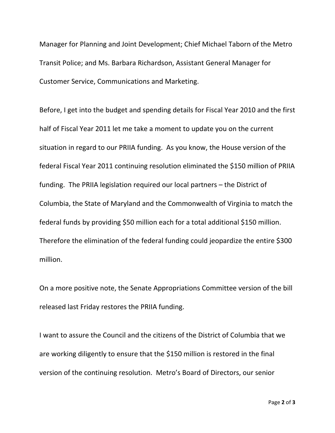Manager for Planning and Joint Development; Chief Michael Taborn of the Metro Transit Police; and Ms. Barbara Richardson, Assistant General Manager for Customer Service, Communications and Marketing.

Before, I get into the budget and spending details for Fiscal Year 2010 and the first half of Fiscal Year 2011 let me take a moment to update you on the current situation in regard to our PRIIA funding. As you know, the House version of the federal Fiscal Year 2011 continuing resolution eliminated the \$150 million of PRIIA funding. The PRIIA legislation required our local partners – the District of Columbia, the State of Maryland and the Commonwealth of Virginia to match the federal funds by providing \$50 million each for a total additional \$150 million. Therefore the elimination of the federal funding could jeopardize the entire \$300 million.

On a more positive note, the Senate Appropriations Committee version of the bill released last Friday restores the PRIIA funding.

I want to assure the Council and the citizens of the District of Columbia that we are working diligently to ensure that the \$150 million is restored in the final version of the continuing resolution. Metro's Board of Directors, our senior